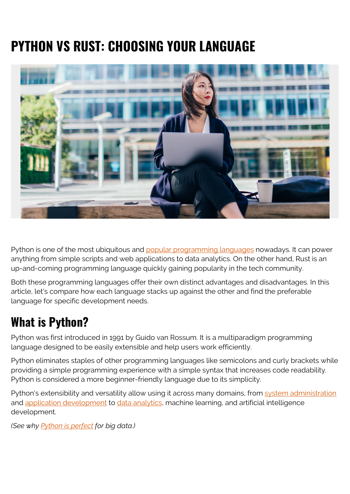# **PYTHON VS RUST: CHOOSING YOUR LANGUAGE**



Python is one of the most ubiquitous and [popular programming languages](https://blogs.bmc.com/blogs/programming-languages/) nowadays. It can power anything from simple scripts and web applications to data analytics. On the other hand, Rust is an up-and-coming programming language quickly gaining popularity in the tech community.

Both these programming languages offer their own distinct advantages and disadvantages. In this article, let's compare how each language stacks up against the other and find the preferable language for specific development needs.

## **What is Python?**

Python was first introduced in 1991 by Guido van Rossum. It is a multiparadigm programming language designed to be easily extensible and help users work efficiently.

Python eliminates staples of other programming languages like semicolons and curly brackets while providing a simple programming experience with a simple syntax that increases code readability. Python is considered a more beginner-friendly language due to its simplicity.

Python's extensibility and versatility allow using it across many domains, from [system administration](https://blogs.bmc.com/blogs/system-administrator-vs-security-administrator-whats-the-difference/) and [application development](https://blogs.bmc.com/blogs/sdlc-software-development-lifecycle/) to [data analytics,](https://blogs.bmc.com/blogs/data-analytics-vs-data-analysis) machine learning, and artificial intelligence development.

*(See why [Python is perfect](https://blogs.bmc.com/blogs/python-big-data-analytics/) for big data.)*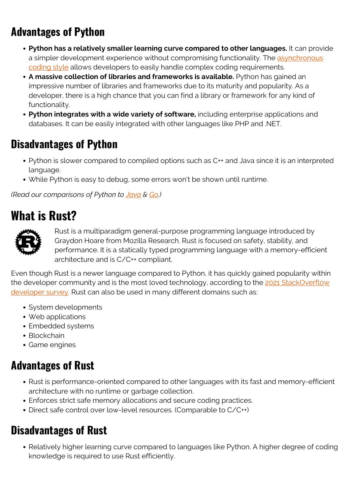## **Advantages of Python**

- **Python has a relatively smaller learning curve compared to other languages.** It can provide a simpler development experience without compromising functionality. The [asynchronous](https://blogs.bmc.com/blogs/asynchronous-programming/) [coding style](https://blogs.bmc.com/blogs/asynchronous-programming/) allows developers to easily handle complex coding requirements.
- **A massive collection of libraries and frameworks is available.** Python has gained an impressive number of libraries and frameworks due to its maturity and popularity. As a developer, there is a high chance that you can find a library or framework for any kind of functionality.
- **Python integrates with a wide variety of software,** including enterprise applications and databases. It can be easily integrated with other languages like PHP and .NET.

### **Disadvantages of Python**

- Python is slower compared to compiled options such as C++ and Java since it is an interpreted language.
- While Python is easy to debug, some errors won't be shown until runtime.

*(Read our comparisons of Python to [Java](https://blogs.bmc.com/blogs/python-vs-java/) & [Go](https://blogs.bmc.com/blogs/go-vs-python/).)*

### **What is Rust?**



Rust is a multiparadigm general-purpose programming language introduced by Graydon Hoare from Mozilla Research. Rust is focused on safety, stability, and performance. It is a statically typed programming language with a memory-efficient architecture and is C/C++ compliant.

Even though Rust is a newer language compared to Python, it has quickly gained popularity within the developer community and is the most loved technology, according to the [2021 StackOverflow](https://insights.stackoverflow.com/survey/2021#technology-most-loved-dreaded-and-wanted) [developer survey.](https://insights.stackoverflow.com/survey/2021#technology-most-loved-dreaded-and-wanted) Rust can also be used in many different domains such as:

- System developments
- Web applications
- Embedded systems
- Blockchain
- Game engines

#### **Advantages of Rust**

- Rust is performance-oriented compared to other languages with its fast and memory-efficient architecture with no runtime or garbage collection.
- Enforces strict safe memory allocations and secure coding practices.
- Direct safe control over low-level resources. (Comparable to C/C++)

#### **Disadvantages of Rust**

• Relatively higher learning curve compared to languages like Python. A higher degree of coding knowledge is required to use Rust efficiently.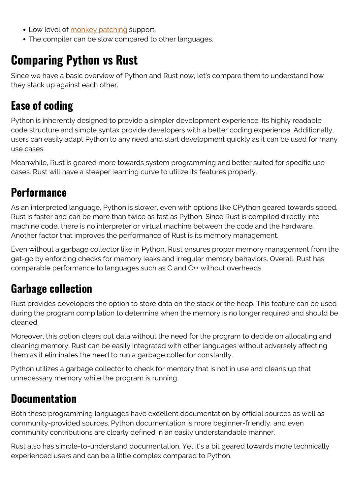- Low level of [monkey patching](https://dev.to/napoleon039/monkey-patching-what-is-it-and-should-you-be-using-it-50db) support.
- The compiler can be slow compared to other languages.

## **Comparing Python vs Rust**

Since we have a basic overview of Python and Rust now, let's compare them to understand how they stack up against each other.

#### **Ease of coding**

Python is inherently designed to provide a simpler development experience. Its highly readable code structure and simple syntax provide developers with a better coding experience. Additionally, users can easily adapt Python to any need and start development quickly as it can be used for many use cases.

Meanwhile, Rust is geared more towards system programming and better suited for specific usecases. Rust will have a steeper learning curve to utilize its features properly.

#### **Performance**

As an interpreted language, Python is slower, even with options like CPython geared towards speed. Rust is faster and can be more than twice as fast as Python. Since Rust is compiled directly into machine code, there is no interpreter or virtual machine between the code and the hardware. Another factor that improves the performance of Rust is its memory management.

Even without a garbage collector like in Python, Rust ensures proper memory management from the get-go by enforcing checks for memory leaks and irregular memory behaviors. Overall, Rust has comparable performance to languages such as C and C++ without overheads.

### **Garbage collection**

Rust provides developers the option to store data on the stack or the heap. This feature can be used during the program compilation to determine when the memory is no longer required and should be cleaned.

Moreover, this option clears out data without the need for the program to decide on allocating and cleaning memory. Rust can be easily integrated with other languages without adversely affecting them as it eliminates the need to run a garbage collector constantly.

Python utilizes a garbage collector to check for memory that is not in use and cleans up that unnecessary memory while the program is running.

#### **Documentation**

Both these programming languages have excellent documentation by official sources as well as community-provided sources. Python documentation is more beginner-friendly, and even community contributions are clearly defined in an easily understandable manner.

Rust also has simple-to-understand documentation. Yet it's a bit geared towards more technically experienced users and can be a little complex compared to Python.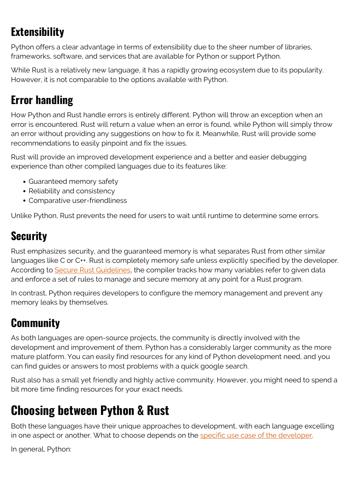## **Extensibility**

Python offers a clear advantage in terms of extensibility due to the sheer number of libraries, frameworks, software, and services that are available for Python or support Python.

While Rust is a relatively new language, it has a rapidly growing ecosystem due to its popularity. However, it is not comparable to the options available with Python.

## **Error handling**

How Python and Rust handle errors is entirely different. Python will throw an exception when an error is encountered. Rust will return a value when an error is found, while Python will simply throw an error without providing any suggestions on how to fix it. Meanwhile, Rust will provide some recommendations to easily pinpoint and fix the issues.

Rust will provide an improved development experience and a better and easier debugging experience than other compiled languages due to its features like:

- Guaranteed memory safety
- Reliability and consistency
- Comparative user-friendliness

Unlike Python, Rust prevents the need for users to wait until runtime to determine some errors.

### **Security**

Rust emphasizes security, and the guaranteed memory is what separates Rust from other similar languages like C or C++. Rust is completely memory safe unless explicitly specified by the developer. According to [Secure Rust Guidelines](https://anssi-fr.github.io/rust-guide/), the compiler tracks how many variables refer to given data and enforce a set of rules to manage and secure memory at any point for a Rust program.

In contrast, Python requires developers to configure the memory management and prevent any memory leaks by themselves.

### **Community**

As both languages are open-source projects, the community is directly involved with the development and improvement of them. Python has a considerably larger community as the more mature platform. You can easily find resources for any kind of Python development need, and you can find guides or answers to most problems with a quick google search.

Rust also has a small yet friendly and highly active community. However, you might need to spend a bit more time finding resources for your exact needs.

## **Choosing between Python & Rust**

Both these languages have their unique approaches to development, with each language excelling in one aspect or another. What to choose depends on the [specific use case of the developer.](https://blogs.bmc.com/blogs/application-developer-roles-responsibilities/)

In general, Python: